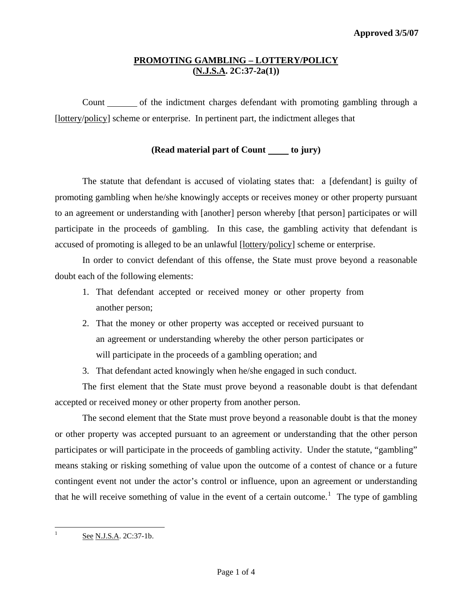# **PROMOTING GAMBLING – LOTTERY/POLICY (N.J.S.A. 2C:37-2a(1))**

Count of the indictment charges defendant with promoting gambling through a [lottery/policy] scheme or enterprise. In pertinent part, the indictment alleges that

# (Read material part of Count \_\_\_\_\_ to jury)

 The statute that defendant is accused of violating states that: a [defendant] is guilty of promoting gambling when he/she knowingly accepts or receives money or other property pursuant to an agreement or understanding with [another] person whereby [that person] participates or will participate in the proceeds of gambling. In this case, the gambling activity that defendant is accused of promoting is alleged to be an unlawful [lottery/policy] scheme or enterprise.

 In order to convict defendant of this offense, the State must prove beyond a reasonable doubt each of the following elements:

- 1. That defendant accepted or received money or other property from another person;
- 2. That the money or other property was accepted or received pursuant to an agreement or understanding whereby the other person participates or will participate in the proceeds of a gambling operation; and
- 3. That defendant acted knowingly when he/she engaged in such conduct.

 The first element that the State must prove beyond a reasonable doubt is that defendant accepted or received money or other property from another person.

 The second element that the State must prove beyond a reasonable doubt is that the money or other property was accepted pursuant to an agreement or understanding that the other person participates or will participate in the proceeds of gambling activity. Under the statute, "gambling" means staking or risking something of value upon the outcome of a contest of chance or a future contingent event not under the actor's control or influence, upon an agreement or understanding that he will receive something of value in the event of a certain outcome.<sup>[1](#page-0-0)</sup> The type of gambling

<span id="page-0-1"></span><span id="page-0-0"></span> $\frac{1}{1}$ 

See N.J.S.A. 2C:37-1b.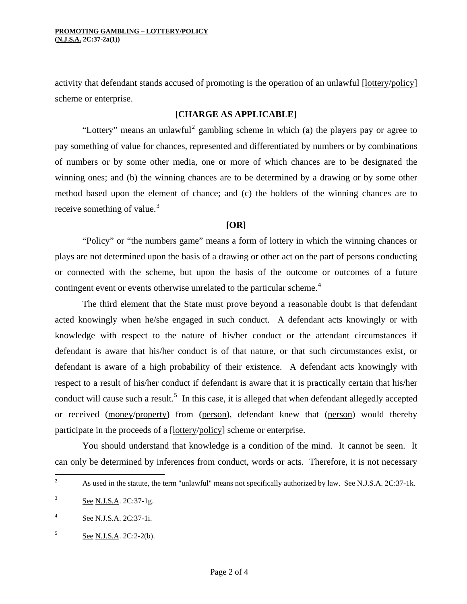activity that defendant stands accused of promoting is the operation of an unlawful [lottery/policy] scheme or enterprise.

# **[CHARGE AS APPLICABLE]**

"Lottery" means an unlawful<sup>[2](#page-0-1)</sup> gambling scheme in which (a) the players pay or agree to pay something of value for chances, represented and differentiated by numbers or by combinations of numbers or by some other media, one or more of which chances are to be designated the winning ones; and (b) the winning chances are to be determined by a drawing or by some other method based upon the element of chance; and (c) the holders of the winning chances are to receive something of value.<sup>[3](#page-1-0)</sup>

### **[OR]**

 "Policy" or "the numbers game" means a form of lottery in which the winning chances or plays are not determined upon the basis of a drawing or other act on the part of persons conducting or connected with the scheme, but upon the basis of the outcome or outcomes of a future contingent event or events otherwise unrelated to the particular scheme.<sup>[4](#page-1-1)</sup>

 The third element that the State must prove beyond a reasonable doubt is that defendant acted knowingly when he/she engaged in such conduct. A defendant acts knowingly or with knowledge with respect to the nature of his/her conduct or the attendant circumstances if defendant is aware that his/her conduct is of that nature, or that such circumstances exist, or defendant is aware of a high probability of their existence. A defendant acts knowingly with respect to a result of his/her conduct if defendant is aware that it is practically certain that his/her conduct will cause such a result.<sup>[5](#page-1-2)</sup> In this case, it is alleged that when defendant allegedly accepted or received (money/property) from (person), defendant knew that (person) would thereby participate in the proceeds of a [lottery/policy] scheme or enterprise.

 You should understand that knowledge is a condition of the mind. It cannot be seen. It can only be determined by inferences from conduct, words or acts. Therefore, it is not necessary

<span id="page-1-3"></span> $\frac{1}{2}$ As used in the statute, the term "unlawful" means not specifically authorized by law. See N.J.S.A. 2C:37-1k.

<span id="page-1-0"></span><sup>3</sup> See N.J.S.A. 2C:37-1g.

<span id="page-1-1"></span><sup>4</sup> See N.J.S.A. 2C:37-1i.

<span id="page-1-2"></span><sup>5</sup> See N.J.S.A. 2C:2-2(b).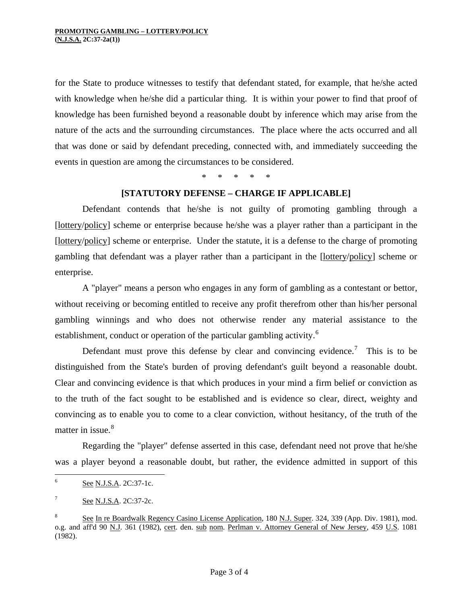for the State to produce witnesses to testify that defendant stated, for example, that he/she acted with knowledge when he/she did a particular thing. It is within your power to find that proof of knowledge has been furnished beyond a reasonable doubt by inference which may arise from the nature of the acts and the surrounding circumstances. The place where the acts occurred and all that was done or said by defendant preceding, connected with, and immediately succeeding the events in question are among the circumstances to be considered.

\* \* \* \* \*

#### **[STATUTORY DEFENSE – CHARGE IF APPLICABLE]**

 Defendant contends that he/she is not guilty of promoting gambling through a [lottery/policy] scheme or enterprise because he/she was a player rather than a participant in the [lottery/policy] scheme or enterprise. Under the statute, it is a defense to the charge of promoting gambling that defendant was a player rather than a participant in the [lottery/policy] scheme or enterprise.

 A "player" means a person who engages in any form of gambling as a contestant or bettor, without receiving or becoming entitled to receive any profit therefrom other than his/her personal gambling winnings and who does not otherwise render any material assistance to the establishment, conduct or operation of the particular gambling activity.<sup>[6](#page-1-3)</sup>

Defendant must prove this defense by clear and convincing evidence.<sup>[7](#page-2-0)</sup> This is to be distinguished from the State's burden of proving defendant's guilt beyond a reasonable doubt. Clear and convincing evidence is that which produces in your mind a firm belief or conviction as to the truth of the fact sought to be established and is evidence so clear, direct, weighty and convincing as to enable you to come to a clear conviction, without hesitancy, of the truth of the matter in issue.<sup>[8](#page-2-1)</sup>

 Regarding the "player" defense asserted in this case, defendant need not prove that he/she was a player beyond a reasonable doubt, but rather, the evidence admitted in support of this

 $\frac{1}{6}$ See N.J.S.A. 2C:37-1c.

<span id="page-2-0"></span><sup>7</sup> See N.J.S.A. 2C:37-2c.

<span id="page-2-1"></span><sup>8</sup> See In re Boardwalk Regency Casino License Application, 180 N.J. Super. 324, 339 (App. Div. 1981), mod. o.g. and aff'd 90 N.J. 361 (1982), cert. den. sub nom. Perlman v. Attorney General of New Jersey, 459 U.S. 1081 (1982).